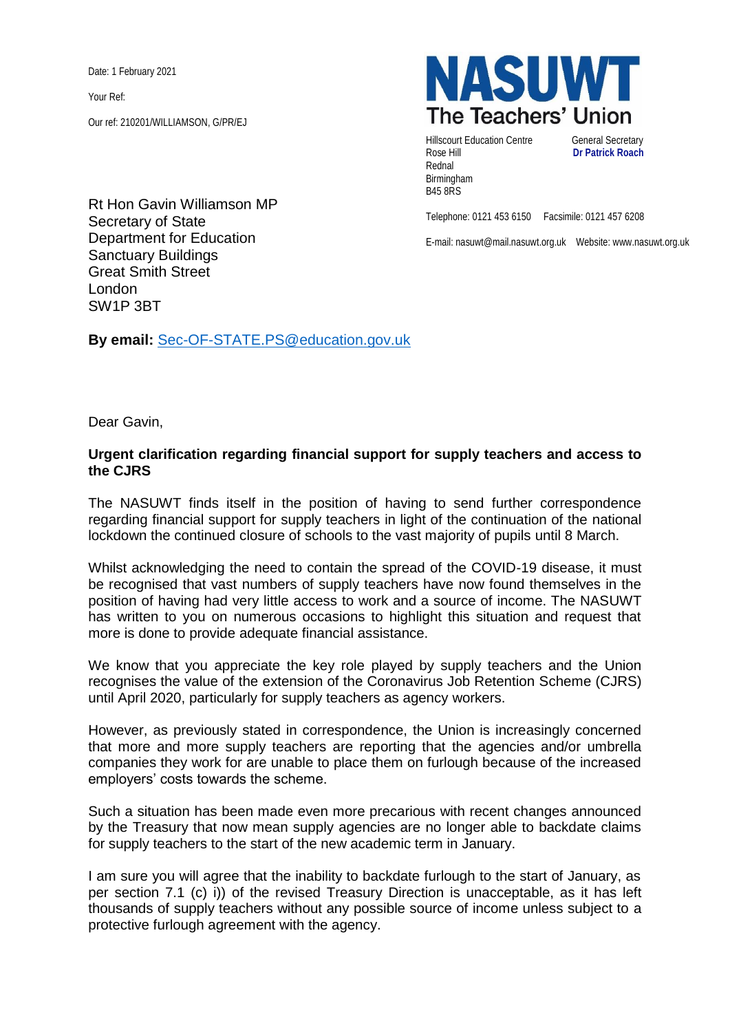Date: 1 February 2021

Your Ref:

Our ref: 210201/WILLIAMSON, G/PR/EJ

Rt Hon Gavin Williamson MP Secretary of State Department for Education Sanctuary Buildings Great Smith Street London SW1P 3BT

**By email:** [Sec-OF-STATE.PS@education.gov.uk](mailto:Sec-OF-STATE.PS@education.gov.uk)



Hillscourt Education Centre **General Secretary** Rose Hill **Dr Patrick Roach** Rednal Birmingham B45 8RS

Telephone: 0121 453 6150 Facsimile: 0121 457 6208

E-mail: nasuwt@mail.nasuwt.org.uk Website: www.nasuwt.org.uk

Dear Gavin,

## **Urgent clarification regarding financial support for supply teachers and access to the CJRS**

The NASUWT finds itself in the position of having to send further correspondence regarding financial support for supply teachers in light of the continuation of the national lockdown the continued closure of schools to the vast majority of pupils until 8 March.

Whilst acknowledging the need to contain the spread of the COVID-19 disease, it must be recognised that vast numbers of supply teachers have now found themselves in the position of having had very little access to work and a source of income. The NASUWT has written to you on numerous occasions to highlight this situation and request that more is done to provide adequate financial assistance.

We know that you appreciate the key role played by supply teachers and the Union recognises the value of the extension of the Coronavirus Job Retention Scheme (CJRS) until April 2020, particularly for supply teachers as agency workers.

However, as previously stated in correspondence, the Union is increasingly concerned that more and more supply teachers are reporting that the agencies and/or umbrella companies they work for are unable to place them on furlough because of the increased employers' costs towards the scheme.

Such a situation has been made even more precarious with recent changes announced by the Treasury that now mean supply agencies are no longer able to backdate claims for supply teachers to the start of the new academic term in January.

I am sure you will agree that the inability to backdate furlough to the start of January, as per section 7.1 (c) i)) of the revised Treasury Direction is unacceptable, as it has left thousands of supply teachers without any possible source of income unless subject to a protective furlough agreement with the agency.